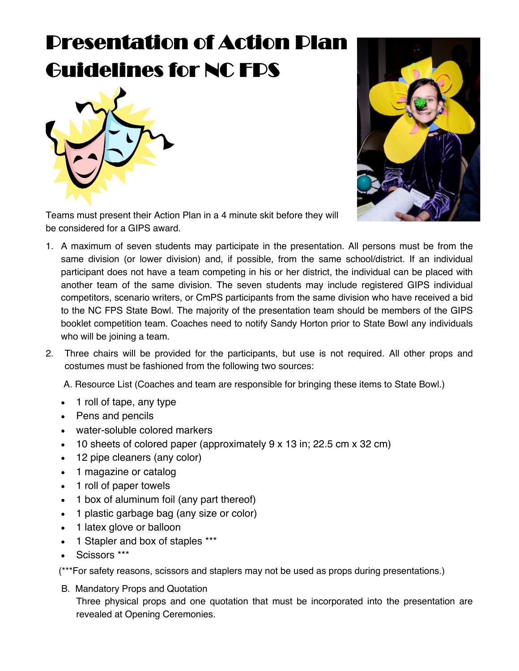## Presentation of Action Plan Guidelines for NC FPS





Teams must present their Action Plan in a 4 minute skit before they will be considered for a GIPS award.

- 1. A maximum of seven students may participate in the presentation. All persons must be from the same division (or lower division) and, if possible, from the same school/district. If an individual participant does not have a team competing in his or her district, the individual can be placed with another team of the same division. The seven students may include registered GIPS individual competitors, scenario writers, or CmPS participants from the same division who have received a bid to the NC FPS State Bowl. The majority of the presentation team should be members of the GIPS booklet competition team. Coaches need to notify Sandy Horton prior to State Bowl any individuals who will be joining a team.
- 2. Three chairs will be provided for the participants, but use is not required. All other props and costumes must be fashioned from the following two sources:

A. Resource List (Coaches and team are responsible for bringing these items to State Bowl.)

- 1 roll of tape, any type
- Pens and pencils
- water-soluble colored markers
- 10 sheets of colored paper (approximately 9 x 13 in; 22.5 cm x 32 cm)
- 12 pipe cleaners (any color)
- 1 magazine or catalog
- 1 roll of paper towels
- 1 box of aluminum foil (any part thereof)
- 1 plastic garbage bag (any size or color)
- 1 latex glove or balloon
- 1 Stapler and box of staples \*\*\*
- Scissors \*\*\*

(\*\*\*For safety reasons, scissors and staplers may not be used as props during presentations.)

B. Mandatory Props and Quotation

Three physical props and one quotation that must be incorporated into the presentation are revealed at Opening Ceremonies.